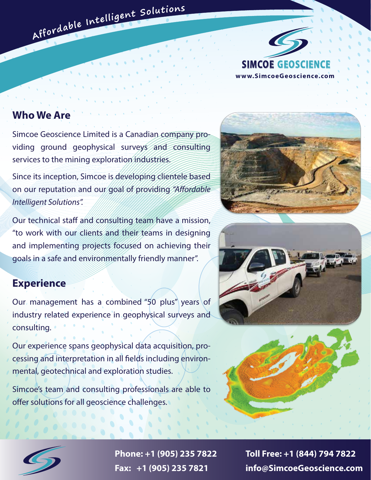

# **Who We Are**

Simcoe Geoscience Limited is a Canadian company providing ground geophysical surveys and consulting services to the mining exploration industries.

Affordable Intelligent Solutions

Since its inception, Simcoe is developing clientele based on our reputation and our goal of providing "Affordable" *Intelligent Solutions".* 

Our technical staff and consulting team have a mission, "to work with our clients and their teams in designing and implementing projects focused on achieving their goals in a safe and environmentally friendly manner".

## **Experience**

Our management has a combined "50 plus" years of industry related experience in geophysical surveys and consulting.

Our experience spans geophysical data acquisition, processing and interpretation in all fields including environmental, geotechnical and exploration studies.

Simcoe's team and consulting professionals are able to offer solutions for all geoscience challenges.









**Phone: +1 (905) 235 7822 Toll Free: +1 (844) 794 7822 Fax: +1 (905) 235 7821 info@SimcoeGeoscience.com**